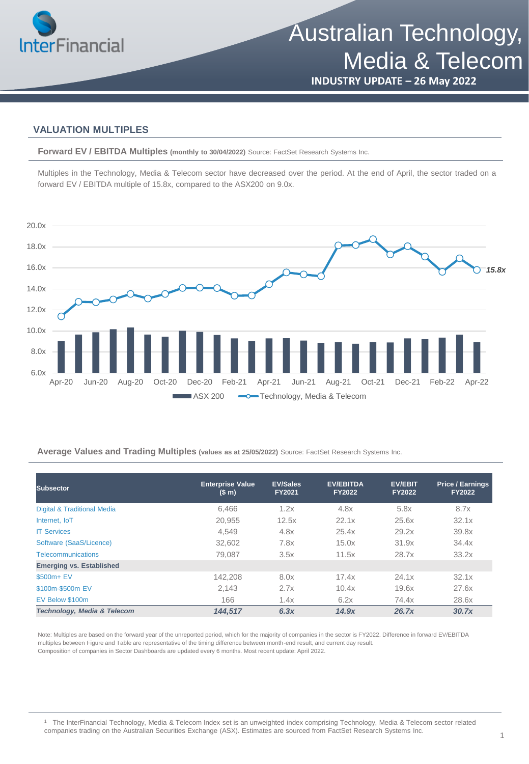

# **INDUSTRY UPDATE – 26 May 2022**

### **VALUATION MULTIPLES**

**Forward EV / EBITDA Multiples (monthly to 30/04/2022)** Source: FactSet Research Systems Inc.

Multiples in the Technology, Media & Telecom sector have decreased over the period. At the end of April, the sector traded on a forward EV / EBITDA multiple of 15.8x, compared to the ASX200 on 9.0x.



**Average Values and Trading Multiples (values as at 25/05/2022)** Source: FactSet Research Systems Inc.

| <b>Subsector</b>                | <b>Enterprise Value</b><br>(S <sub>m</sub> ) | <b>EV/Sales</b><br><b>FY2021</b> | <b>EV/EBITDA</b><br><b>FY2022</b> | <b>EV/EBIT</b><br><b>FY2022</b> | <b>Price / Earnings</b><br><b>FY2022</b> |
|---------------------------------|----------------------------------------------|----------------------------------|-----------------------------------|---------------------------------|------------------------------------------|
| Digital & Traditional Media     | 6,466                                        | 1.2x                             | 4.8x                              | 5.8x                            | 8.7x                                     |
| Internet. IoT                   | 20,955                                       | 12.5x                            | 22.1x                             | 25.6x                           | 32.1x                                    |
| <b>IT Services</b>              | 4.549                                        | 4.8x                             | 25.4x                             | 29.2x                           | 39.8x                                    |
| Software (SaaS/Licence)         | 32.602                                       | 7.8x                             | 15.0x                             | 31.9x                           | 34.4x                                    |
| <b>Telecommunications</b>       | 79.087                                       | 3.5x                             | 11.5x                             | 28.7x                           | 33.2x                                    |
| <b>Emerging vs. Established</b> |                                              |                                  |                                   |                                 |                                          |
| \$500m+ EV                      | 142.208                                      | 8.0x                             | 17.4x                             | 24.1x                           | 32.1x                                    |
| \$100m-\$500m EV                | 2,143                                        | 2.7x                             | 10.4x                             | 19.6x                           | 27.6x                                    |
| EV Below \$100m                 | 166                                          | 1.4x                             | 6.2x                              | 74.4x                           | 28.6x                                    |
| Technology, Media & Telecom     | 144.517                                      | 6.3x                             | 14.9x                             | 26.7x                           | 30.7x                                    |

Note: Multiples are based on the forward year of the unreported period, which for the majority of companies in the sector is FY2022. Difference in forward EV/EBITDA multiples between Figure and Table are representative of the timing difference between month-end result, and current day result. Composition of companies in Sector Dashboards are updated every 6 months. Most recent update: April 2022.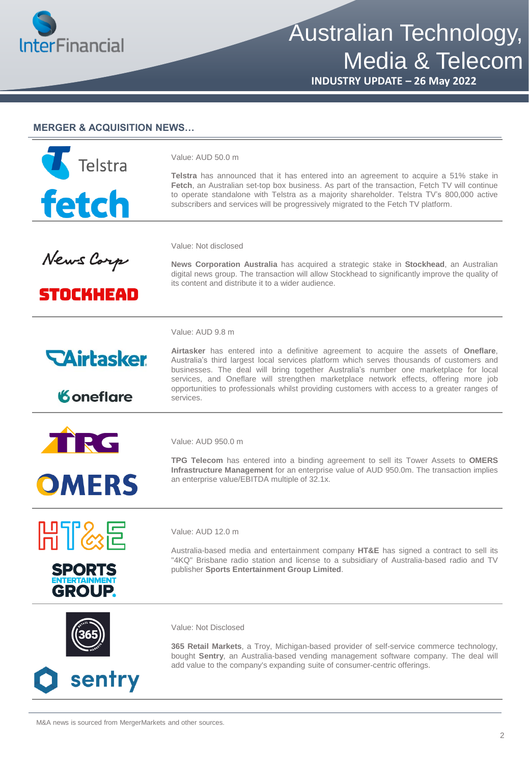

Australian Technology, Media & Telecom

**INDUSTRY UPDATE – 26 May 2022**

#### **MERGER & ACQUISITION NEWS…**



Value: AUD 50.0 m

**Telstra** has announced that it has entered into an agreement to acquire a 51% stake in **Fetch**, an Australian set-top box business. As part of the transaction, Fetch TV will continue to operate standalone with Telstra as a majority shareholder. Telstra TV's 800,000 active subscribers and services will be progressively migrated to the Fetch TV platform.

Value: Not disclosed

News Corp

**STOCKHEAD** 

**News Corporation Australia** has acquired a strategic stake in **Stockhead**, an Australian digital news group. The transaction will allow Stockhead to significantly improve the quality of its content and distribute it to a wider audience.

Value: AUD 9.8 m



*Koneflare* 

**Airtasker** has entered into a definitive agreement to acquire the assets of **Oneflare**, Australia's third largest local services platform which serves thousands of customers and businesses. The deal will bring together Australia's number one marketplace for local services, and Oneflare will strengthen marketplace network effects, offering more job opportunities to professionals whilst providing customers with access to a greater ranges of services.



Value: AUD 950.0 m

**TPG Telecom** has entered into a binding agreement to sell its Tower Assets to **OMERS Infrastructure Management** for an enterprise value of AUD 950.0m. The transaction implies an enterprise value/EBITDA multiple of 32.1x.





Value: AUD 12.0 m

Australia-based media and entertainment company **HT&E** has signed a contract to sell its "4KQ" Brisbane radio station and license to a subsidiary of Australia-based radio and TV publisher **Sports Entertainment Group Limited**.



sentry

Value: Not Disclosed

**365 Retail Markets**, a Troy, Michigan-based provider of self-service commerce technology, bought **Sentry**, an Australia-based vending management software company. The deal will add value to the company's expanding suite of consumer-centric offerings.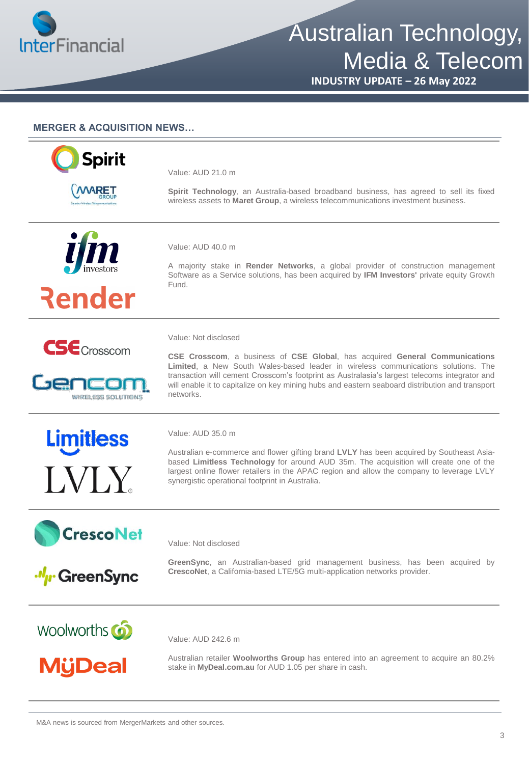

# Australian Technology, Media & Telecom

**INDUSTRY UPDATE – 26 May 2022**

#### **MERGER & ACQUISITION NEWS…**



Value: AUD 21.0 m

**Spirit Technology**, an Australia-based broadband business, has agreed to sell its fixed wireless assets to **Maret Group**, a wireless telecommunications investment business.



Render



Gencom WIRELESS SOLUTIONS

**Limitless** 

**IVIY** 



Value: Not disclosed

A majority stake in **Render Networks**, a global provider of construction management Software as a Service solutions, has been acquired by **IFM Investors'** private equity Growth Fund.

**CSE Crosscom**, a business of **CSE Global**, has acquired **General Communications Limited**, a New South Wales-based leader in wireless communications solutions. The

transaction will cement Crosscom's footprint as Australasia's largest telecoms integrator and will enable it to capitalize on key mining hubs and eastern seaboard distribution and transport networks.



Australian e-commerce and flower gifting brand **LVLY** has been acquired by Southeast Asiabased **Limitless Technology** for around AUD 35m. The acquisition will create one of the largest online flower retailers in the APAC region and allow the company to leverage LVLY synergistic operational footprint in Australia.





**GreenSync**, an Australian-based grid management business, has been acquired by **CrescoNet**, a California-based LTE/5G multi-application networks provider.

Woolworths **6** 

**M**ijDeal

Value: AUD 242.6 m

Value: Not disclosed

Australian retailer **Woolworths Group** has entered into an agreement to acquire an 80.2% stake in **MyDeal.com.au** for AUD 1.05 per share in cash.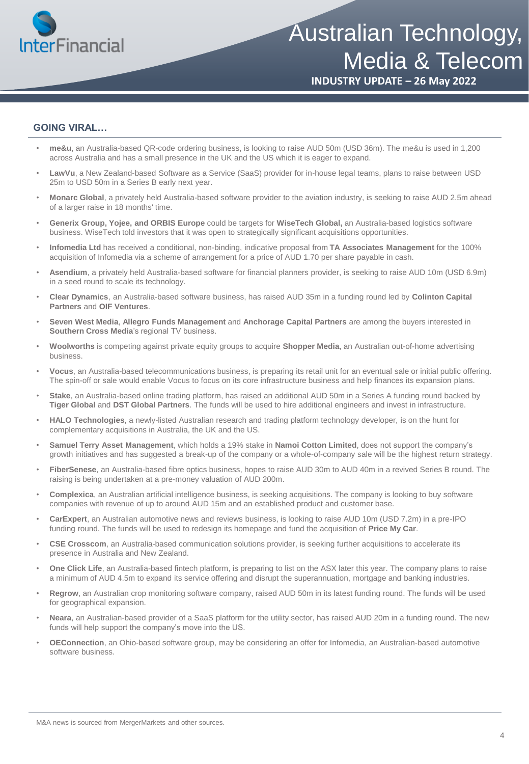

## **INDUSTRY UPDATE – 26 May 2022**

#### **GOING VIRAL…**

- **me&u**, an Australia-based QR-code ordering business, is looking to raise AUD 50m (USD 36m). The me&u is used in 1,200 across Australia and has a small presence in the UK and the US which it is eager to expand.
- **LawVu**, a New Zealand-based Software as a Service (SaaS) provider for in-house legal teams, plans to raise between USD 25m to USD 50m in a Series B early next year.
- **Monarc Global**, a privately held Australia-based software provider to the aviation industry, is seeking to raise AUD 2.5m ahead of a larger raise in 18 months' time.
- **Generix Group, Yojee, and ORBIS Europe** could be targets for **WiseTech Global,** an Australia-based logistics software business. WiseTech told investors that it was open to strategically significant acquisitions opportunities.
- **Infomedia Ltd** has received a conditional, non-binding, indicative proposal from **TA Associates Management** for the 100% acquisition of Infomedia via a scheme of arrangement for a price of AUD 1.70 per share payable in cash.
- **Asendium**, a privately held Australia-based software for financial planners provider, is seeking to raise AUD 10m (USD 6.9m) in a seed round to scale its technology.
- **Clear Dynamics**, an Australia-based software business, has raised AUD 35m in a funding round led by **Colinton Capital Partners** and **OIF Ventures**.
- **Seven West Media**, **Allegro Funds Management** and **Anchorage Capital Partners** are among the buyers interested in **Southern Cross Media**'s regional TV business.
- **Woolworths** is competing against private equity groups to acquire **Shopper Media**, an Australian out-of-home advertising business.
- **Vocus**, an Australia-based telecommunications business, is preparing its retail unit for an eventual sale or initial public offering. The spin-off or sale would enable Vocus to focus on its core infrastructure business and help finances its expansion plans.
- **Stake**, an Australia-based online trading platform, has raised an additional AUD 50m in a Series A funding round backed by **Tiger Global** and **DST Global Partners**. The funds will be used to hire additional engineers and invest in infrastructure.
- **HALO Technologies**, a newly-listed Australian research and trading platform technology developer, is on the hunt for complementary acquisitions in Australia, the UK and the US.
- **Samuel Terry Asset Management**, which holds a 19% stake in **Namoi Cotton Limited**, does not support the company's growth initiatives and has suggested a break-up of the company or a whole-of-company sale will be the highest return strategy.
- **FiberSenese**, an Australia-based fibre optics business, hopes to raise AUD 30m to AUD 40m in a revived Series B round. The raising is being undertaken at a pre-money valuation of AUD 200m.
- **Complexica**, an Australian artificial intelligence business, is seeking acquisitions. The company is looking to buy software companies with revenue of up to around AUD 15m and an established product and customer base.
- **CarExpert**, an Australian automotive news and reviews business, is looking to raise AUD 10m (USD 7.2m) in a pre-IPO funding round. The funds will be used to redesign its homepage and fund the acquisition of **Price My Car**.
- **CSE Crosscom**, an Australia-based communication solutions provider, is seeking further acquisitions to accelerate its presence in Australia and New Zealand.
- **One Click Life**, an Australia-based fintech platform, is preparing to list on the ASX later this year. The company plans to raise a minimum of AUD 4.5m to expand its service offering and disrupt the superannuation, mortgage and banking industries.
- **Regrow**, an Australian crop monitoring software company, raised AUD 50m in its latest funding round. The funds will be used for geographical expansion.
- **Neara**, an Australian-based provider of a SaaS platform for the utility sector, has raised AUD 20m in a funding round. The new funds will help support the company's move into the US.
- **OEConnection**, an Ohio-based software group, may be considering an offer for Infomedia, an Australian-based automotive software business.